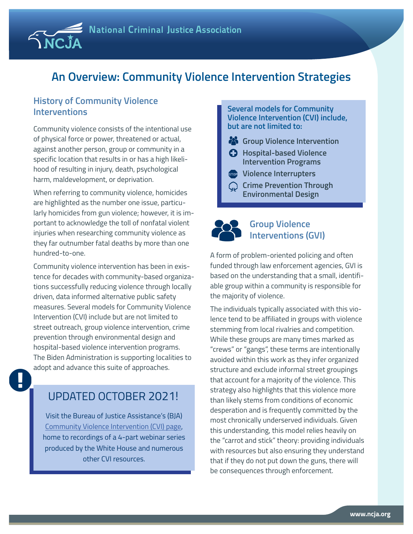## **An Overview: Community Violence Intervention Strategies**

#### **History of Community Violence Interventions**

 $\overline{\text{N}}$ C.

Community violence consists of the intentional use of physical force or power, threatened or actual, against another person, group or community in a specific location that results in or has a high likelihood of resulting in injury, death, psychological harm, maldevelopment, or deprivation.

When referring to community violence, homicides are highlighted as the number one issue, particularly homicides from gun violence; however, it is important to acknowledge the toll of nonfatal violent injuries when researching community violence as they far outnumber fatal deaths by more than one hundred-to-one.

Community violence intervention has been in existence for decades with community-based organizations successfully reducing violence through locally driven, data informed alternative public safety measures. Several models for Community Violence Intervention (CVI) include but are not limited to street outreach, group violence intervention, crime prevention through environmental design and hospital-based violence intervention programs. The Biden Administration is supporting localities to adopt and advance this suite of approaches.

## UPDATED OCTOBER 2021!

Visit the Bureau of Justice Assistance's (BJA) [Community Violence Intervention \(CVI\) page,](https://bjatta.bja.ojp.gov/content/community-violence-intervention-cvi) home to recordings of a 4-part webinar series produced by the White House and numerous other CVI resources.

#### **Several models for Community Violence Intervention (CVI) include, but are not limited to:**

- **Group Violence Intervention**
- **Hospital-based Violence Intervention Programs**
- **Violence Interrupters**
- **Crime Prevention Through Environmental Design**



#### **Group Violence Interventions (GVI)**

A form of problem-oriented policing and often funded through law enforcement agencies, GVI is based on the understanding that a small, identifiable group within a community is responsible for the majority of violence.

The individuals typically associated with this violence tend to be affiliated in groups with violence stemming from local rivalries and competition. While these groups are many times marked as "crews" or "gangs", these terms are intentionally avoided within this work as they infer organized structure and exclude informal street groupings that account for a majority of the violence. This strategy also highlights that this violence more than likely stems from conditions of economic desperation and is frequently committed by the most chronically underserved individuals. Given this understanding, this model relies heavily on the "carrot and stick" theory: providing individuals with resources but also ensuring they understand that if they do not put down the guns, there will be consequences through enforcement.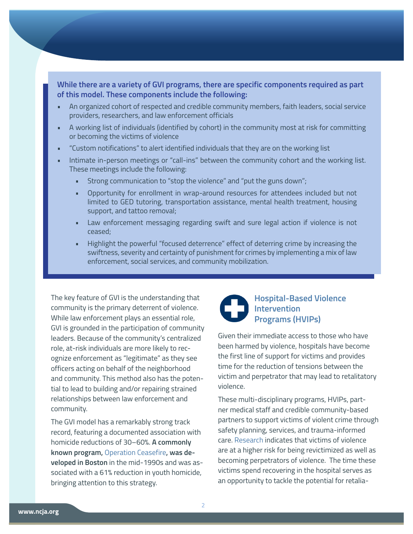**While there are a variety of GVI programs, there are specific components required as part of this model. These components include the following:** 

- An organized cohort of respected and credible community members, faith leaders, social service providers, researchers, and law enforcement officials
- A working list of individuals (identified by cohort) in the community most at risk for committing or becoming the victims of violence
- "Custom notifications" to alert identified individuals that they are on the working list
- Intimate in-person meetings or "call-ins" between the community cohort and the working list. These meetings include the following:
	- Strong communication to "stop the violence" and "put the guns down";
	- Opportunity for enrollment in wrap-around resources for attendees included but not limited to GED tutoring, transportation assistance, mental health treatment, housing support, and tattoo removal;
	- Law enforcement messaging regarding swift and sure legal action if violence is not ceased;
	- Highlight the powerful "focused deterrence" effect of deterring crime by increasing the swiftness, severity and certainty of punishment for crimes by implementing a mix of law enforcement, social services, and community mobilization.

The key feature of GVI is the understanding that community is the primary deterrent of violence. While law enforcement plays an essential role, GVI is grounded in the participation of community leaders. Because of the community's centralized role, at-risk individuals are more likely to recognize enforcement as "legitimate" as they see officers acting on behalf of the neighborhood and community. This method also has the potential to lead to building and/or repairing strained relationships between law enforcement and community.

The GVI model has a remarkably strong track record, featuring a documented association with homicide reductions of 30–60%. **A commonly known program,** [Operation Ceasefire](https://www.ojp.gov/pdffiles1/nij/188741.pdf)**, was developed in Boston** in the mid-1990s and was associated with a 61% reduction in youth homicide, bringing attention to this strategy.



# **Hospital-Based Violence Programs (HVIPs)**

Given their immediate access to those who have been harmed by violence, hospitals have become the first line of support for victims and provides time for the reduction of tensions between the victim and perpetrator that may lead to retalitatory violence.

These multi-disciplinary programs, HVIPs, partner medical staff and credible community-based partners to support victims of violent crime through safety planning, services, and trauma-informed care. [Research i](https://www.ojp.gov/pdffiles1/ojjdp/195737.pdf)ndicates that victims of violence are at a higher risk for being revictimized as well as becoming perpetrators of violence. The time these victims spend recovering in the hospital serves as an opportunity to tackle the potential for retalia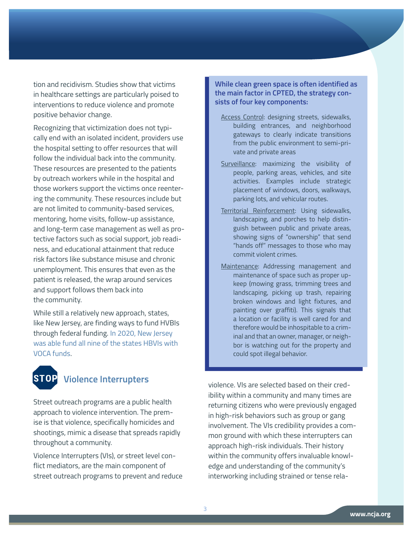tion and recidivism. Studies show that victims in healthcare settings are particularly poised to interventions to reduce violence and promote positive behavior change.

Recognizing that victimization does not typically end with an isolated incident, providers use the hospital setting to offer resources that will follow the individual back into the community. These resources are presented to the patients by outreach workers while in the hospital and those workers support the victims once reentering the community. These resources include but are not limited to community-based services, mentoring, home visits, follow-up assistance, and long-term case management as well as protective factors such as social support, job readiness, and educational attainment that reduce risk factors like substance misuse and chronic unemployment. This ensures that even as the patient is released, the wrap around services and support follows them back into the community.

While still a relatively new approach, states, like New Jersey, are finding ways to fund HVBIs through federal funding. [In 2020, New Jersey](https://www.nj.gov/governor/news/news/562020/approved/20200129a.shtml)  [was able fund all nine of the states HBVIs with](https://www.nj.gov/governor/news/news/562020/approved/20200129a.shtml)  [VOCA funds](https://www.nj.gov/governor/news/news/562020/approved/20200129a.shtml).



## **Violence Interrupters**

Street outreach programs are a public health approach to violence intervention. The premise is that violence, specifically homicides and shootings, mimic a disease that spreads rapidly throughout a community.

Violence Interrupters (VIs), or street level conflict mediators, are the main component of street outreach programs to prevent and reduce **While clean green space is often identified as the main factor in CPTED, the strategy consists of four key components:**

- Access Control: designing streets, sidewalks, building entrances, and neighborhood gateways to clearly indicate transitions from the public environment to semi-private and private areas
- Surveillance: maximizing the visibility of people, parking areas, vehicles, and site activities. Examples include strategic placement of windows, doors, walkways, parking lots, and vehicular routes.
- Territorial Reinforcement: Using sidewalks, landscaping, and porches to help distinguish between public and private areas, showing signs of "ownership" that send "hands off" messages to those who may commit violent crimes.
- Maintenance: Addressing management and maintenance of space such as proper upkeep (mowing grass, trimming trees and landscaping, picking up trash, repairing broken windows and light fixtures, and painting over graffiti). This signals that a location or facility is well cared for and therefore would be inhospitable to a criminal and that an owner, manager, or neighbor is watching out for the property and could spot illegal behavior.

violence. VIs are selected based on their credibility within a community and many times are returning citizens who were previously engaged in high-risk behaviors such as group or gang involvement. The VIs credibility provides a common ground with which these interrupters can approach high-risk individuals. Their history within the community offers invaluable knowledge and understanding of the community's interworking including strained or tense rela-